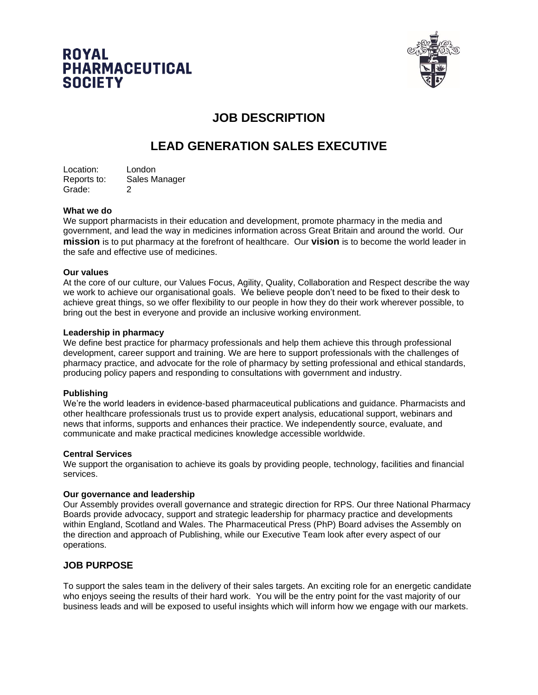



# **JOB DESCRIPTION**

# **LEAD GENERATION SALES EXECUTIVE**

Location: London Reports to: Sales Manager Grade: 2

### **What we do**

We support pharmacists in their education and development, promote pharmacy in the media and government, and lead the way in medicines information across Great Britain and around the world. Our **mission** is to put pharmacy at the forefront of healthcare. Our **vision** is to become the world leader in the safe and effective use of medicines.

### **Our values**

At the core of our culture, our Values Focus, Agility, Quality, Collaboration and Respect describe the way we work to achieve our organisational goals. We believe people don't need to be fixed to their desk to achieve great things, so we offer flexibility to our people in how they do their work wherever possible, to bring out the best in everyone and provide an inclusive working environment.

### **Leadership in pharmacy**

We define best practice for pharmacy professionals and help them achieve this through professional development, career support and training. We are here to support professionals with the challenges of pharmacy practice, and advocate for the role of pharmacy by setting professional and ethical standards, producing policy papers and responding to consultations with government and industry.

### **Publishing**

We're the world leaders in evidence-based pharmaceutical publications and guidance. Pharmacists and other healthcare professionals trust us to provide expert analysis, educational support, webinars and news that informs, supports and enhances their practice. We independently source, evaluate, and communicate and make practical medicines knowledge accessible worldwide.

### **Central Services**

We support the organisation to achieve its goals by providing people, technology, facilities and financial services.

### **Our governance and leadership**

Our Assembly provides overall governance and strategic direction for RPS. Our three National Pharmacy Boards provide advocacy, support and strategic leadership for pharmacy practice and developments within England, Scotland and Wales. The Pharmaceutical Press (PhP) Board advises the Assembly on the direction and approach of Publishing, while our Executive Team look after every aspect of our operations.

## **JOB PURPOSE**

To support the sales team in the delivery of their sales targets. An exciting role for an energetic candidate who enjoys seeing the results of their hard work. You will be the entry point for the vast majority of our business leads and will be exposed to useful insights which will inform how we engage with our markets.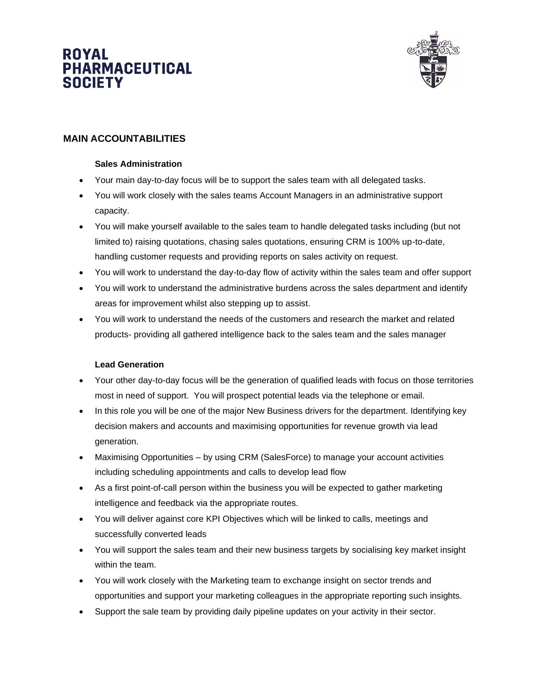# ROYAL **PHARMACEUTICAL SOCIETY**



# **MAIN ACCOUNTABILITIES**

### **Sales Administration**

- Your main day-to-day focus will be to support the sales team with all delegated tasks.
- You will work closely with the sales teams Account Managers in an administrative support capacity.
- You will make yourself available to the sales team to handle delegated tasks including (but not limited to) raising quotations, chasing sales quotations, ensuring CRM is 100% up-to-date, handling customer requests and providing reports on sales activity on request.
- You will work to understand the day-to-day flow of activity within the sales team and offer support
- You will work to understand the administrative burdens across the sales department and identify areas for improvement whilst also stepping up to assist.
- You will work to understand the needs of the customers and research the market and related products- providing all gathered intelligence back to the sales team and the sales manager

### **Lead Generation**

- Your other day-to-day focus will be the generation of qualified leads with focus on those territories most in need of support. You will prospect potential leads via the telephone or email.
- In this role you will be one of the major New Business drivers for the department. Identifying key decision makers and accounts and maximising opportunities for revenue growth via lead generation.
- Maximising Opportunities by using CRM (SalesForce) to manage your account activities including scheduling appointments and calls to develop lead flow
- As a first point-of-call person within the business you will be expected to gather marketing intelligence and feedback via the appropriate routes.
- You will deliver against core KPI Objectives which will be linked to calls, meetings and successfully converted leads
- You will support the sales team and their new business targets by socialising key market insight within the team.
- You will work closely with the Marketing team to exchange insight on sector trends and opportunities and support your marketing colleagues in the appropriate reporting such insights.
- Support the sale team by providing daily pipeline updates on your activity in their sector.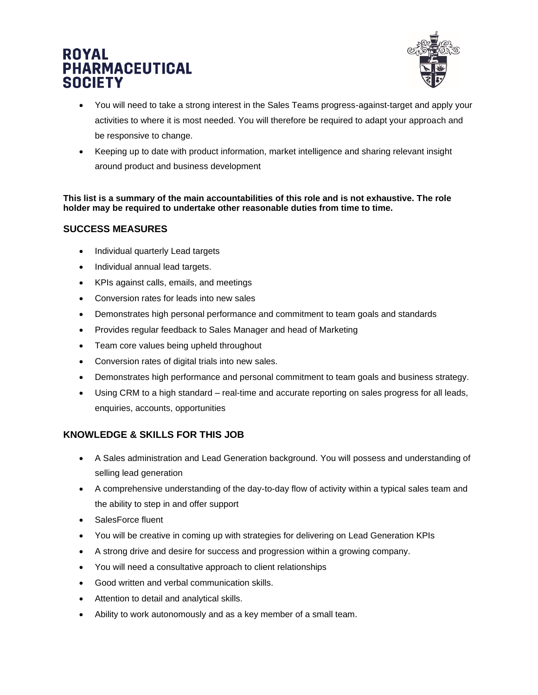# **ROYAL PHARMACEUTICAL SOCIETY**



- You will need to take a strong interest in the Sales Teams progress-against-target and apply your activities to where it is most needed. You will therefore be required to adapt your approach and be responsive to change.
- Keeping up to date with product information, market intelligence and sharing relevant insight around product and business development

**This list is a summary of the main accountabilities of this role and is not exhaustive. The role holder may be required to undertake other reasonable duties from time to time.**

## **SUCCESS MEASURES**

- Individual quarterly Lead targets
- Individual annual lead targets.
- KPIs against calls, emails, and meetings
- Conversion rates for leads into new sales
- Demonstrates high personal performance and commitment to team goals and standards
- Provides regular feedback to Sales Manager and head of Marketing
- Team core values being upheld throughout
- Conversion rates of digital trials into new sales.
- Demonstrates high performance and personal commitment to team goals and business strategy.
- Using CRM to a high standard real-time and accurate reporting on sales progress for all leads, enquiries, accounts, opportunities

## **KNOWLEDGE & SKILLS FOR THIS JOB**

- A Sales administration and Lead Generation background. You will possess and understanding of selling lead generation
- A comprehensive understanding of the day-to-day flow of activity within a typical sales team and the ability to step in and offer support
- SalesForce fluent
- You will be creative in coming up with strategies for delivering on Lead Generation KPIs
- A strong drive and desire for success and progression within a growing company.
- You will need a consultative approach to client relationships
- Good written and verbal communication skills.
- Attention to detail and analytical skills.
- Ability to work autonomously and as a key member of a small team.